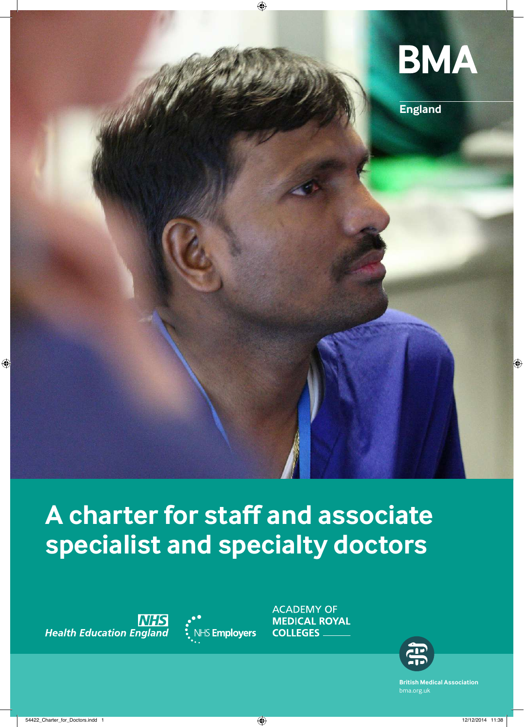

**England**

# **A charter for staff and associate specialist and specialty doctors**





**ACADEMY OF MEDICAL ROYAL COLLEGES** 



**British Medical Association** bma.org.uk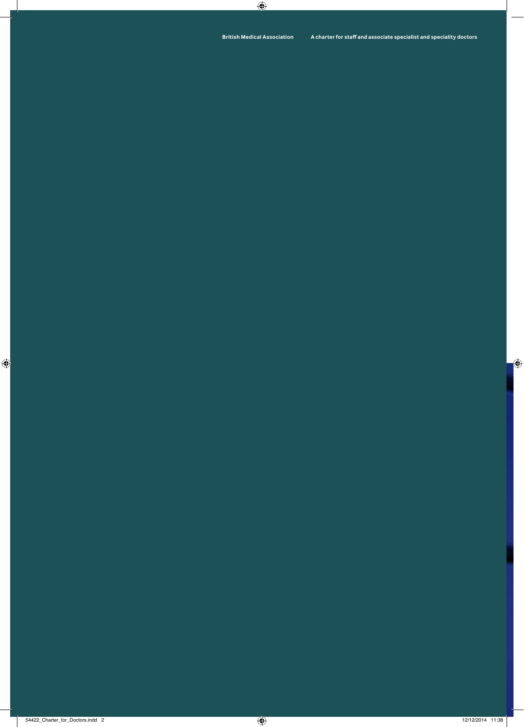**British Medical Association A charter for staff and associate specialist and speciality doctors**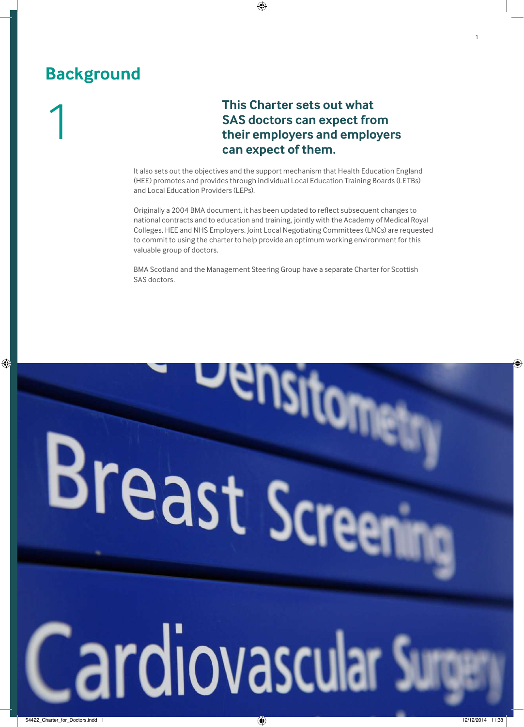# **Background**

1

# **This Charter sets out what SAS doctors can expect from their employers and employers can expect of them.**

1

It also sets out the objectives and the support mechanism that Health Education England (HEE) promotes and provides through individual Local Education Training Boards (LETBs) and Local Education Providers (LEPs).

Originally a 2004 BMA document, it has been updated to reflect subsequent changes to national contracts and to education and training, jointly with the Academy of Medical Royal Colleges, HEE and NHS Employers. Joint Local Negotiating Committees (LNCs) are requested to commit to using the charter to help provide an optimum working environment for this valuable group of doctors.

BMA Scotland and the Management Steering Group have a separate Charter for Scottish SAS doctors.

# Breast Scree Cardiovascular S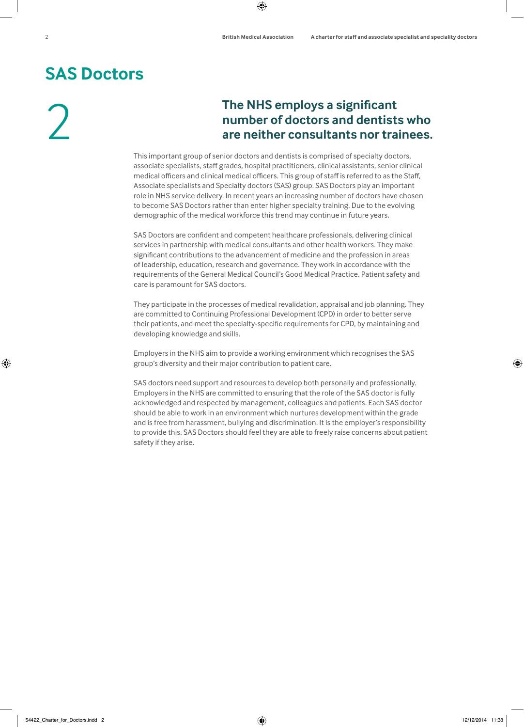# **SAS Doctors**

2

# **The NHS employs a significant number of doctors and dentists who are neither consultants nor trainees.**

This important group of senior doctors and dentists is comprised of specialty doctors, associate specialists, staff grades, hospital practitioners, clinical assistants, senior clinical medical officers and clinical medical officers. This group of staff is referred to as the Staff, Associate specialists and Specialty doctors (SAS) group. SAS Doctors play an important role in NHS service delivery. In recent years an increasing number of doctors have chosen to become SAS Doctors rather than enter higher specialty training. Due to the evolving demographic of the medical workforce this trend may continue in future years.

SAS Doctors are confident and competent healthcare professionals, delivering clinical services in partnership with medical consultants and other health workers. They make significant contributions to the advancement of medicine and the profession in areas of leadership, education, research and governance. They work in accordance with the requirements of the General Medical Council's Good Medical Practice. Patient safety and care is paramount for SAS doctors.

They participate in the processes of medical revalidation, appraisal and job planning. They are committed to Continuing Professional Development (CPD) in order to better serve their patients, and meet the specialty-specific requirements for CPD, by maintaining and developing knowledge and skills.

Employers in the NHS aim to provide a working environment which recognises the SAS group's diversity and their major contribution to patient care.

SAS doctors need support and resources to develop both personally and professionally. Employers in the NHS are committed to ensuring that the role of the SAS doctor is fully acknowledged and respected by management, colleagues and patients. Each SAS doctor should be able to work in an environment which nurtures development within the grade and is free from harassment, bullying and discrimination. It is the employer's responsibility to provide this. SAS Doctors should feel they are able to freely raise concerns about patient safety if they arise.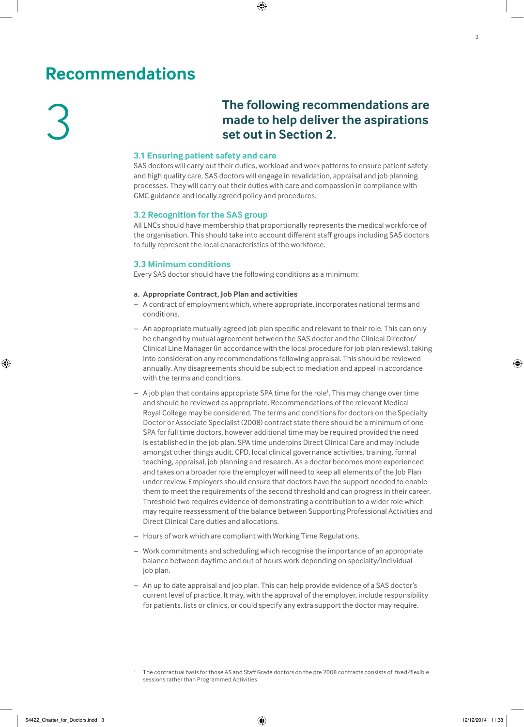# **Recommendations**

# **The following recommendations are made to help deliver the aspirations set out in Section 2.**

### **3.1 Ensuring patient safety and care**

SAS doctors will carry out their duties, workload and work patterns to ensure patient safety and high quality care. SAS doctors will engage in revalidation, appraisal and job planning processes. They will carry out their duties with care and compassion in compliance with GMC guidance and locally agreed policy and procedures.

### **3.2 Recognition for the SAS group**

All LNCs should have membership that proportionally represents the medical workforce of the organisation. This should take into account different staff groups including SAS doctors to fully represent the local characteristics of the workforce.

### **3.3 Minimum conditions**

Every SAS doctor should have the following conditions as a minimum:

### **a. Appropriate Contract, Job Plan and activities**

- A contract of employment which, where appropriate, incorporates national terms and conditions.
- An appropriate mutually agreed job plan specific and relevant to their role. This can only be changed by mutual agreement between the SAS doctor and the Clinical Director/ Clinical Line Manager (in accordance with the local procedure for job plan reviews), taking into consideration any recommendations following appraisal. This should be reviewed annually. Any disagreements should be subject to mediation and appeal in accordance with the terms and conditions.
- A job plan that contains appropriate SPA time for the role<sup>1</sup> . This may change over time and should be reviewed as appropriate. Recommendations of the relevant Medical Royal College may be considered. The terms and conditions for doctors on the Specialty Doctor or Associate Specialist (2008) contract state there should be a minimum of one SPA for full time doctors, however additional time may be required provided the need is established in the job plan. SPA time underpins Direct Clinical Care and may include amongst other things audit, CPD, local clinical governance activities, training, formal teaching, appraisal, job planning and research. As a doctor becomes more experienced and takes on a broader role the employer will need to keep all elements of the Job Plan under review. Employers should ensure that doctors have the support needed to enable them to meet the requirements of the second threshold and can progress in their career. Threshold two requires evidence of demonstrating a contribution to a wider role which may require reassessment of the balance between Supporting Professional Activities and Direct Clinical Care duties and allocations.
- Hours of work which are compliant with Working Time Regulations.
- Work commitments and scheduling which recognise the importance of an appropriate balance between daytime and out of hours work depending on specialty/individual job plan.
- An up to date appraisal and job plan. This can help provide evidence of a SAS doctor's current level of practice. It may, with the approval of the employer, include responsibility for patients, lists or clinics, or could specify any extra support the doctor may require.

<sup>1</sup> The contractual basis for those AS and Staff Grade doctors on the pre 2008 contracts consists of fixed/flexible sessions rather than Programmed Activities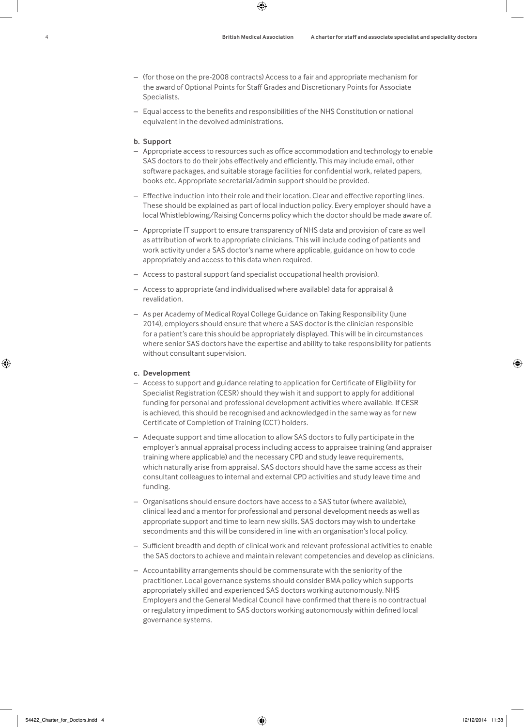- (for those on the pre-2008 contracts) Access to a fair and appropriate mechanism for the award of Optional Points for Staff Grades and Discretionary Points for Associate Specialists.
- Equal access to the benefits and responsibilities of the NHS Constitution or national equivalent in the devolved administrations.

### **b. Support**

- Appropriate access to resources such as office accommodation and technology to enable SAS doctors to do their jobs effectively and efficiently. This may include email, other software packages, and suitable storage facilities for confidential work, related papers, books etc. Appropriate secretarial/admin support should be provided.
- Effective induction into their role and their location. Clear and effective reporting lines. These should be explained as part of local induction policy. Every employer should have a local Whistleblowing/Raising Concerns policy which the doctor should be made aware of.
- Appropriate IT support to ensure transparency of NHS data and provision of care as well as attribution of work to appropriate clinicians. This will include coding of patients and work activity under a SAS doctor's name where applicable, guidance on how to code appropriately and access to this data when required.
- Access to pastoral support (and specialist occupational health provision).
- Access to appropriate (and individualised where available) data for appraisal & revalidation.
- As per Academy of Medical Royal College Guidance on Taking Responsibility (June 2014), employers should ensure that where a SAS doctor is the clinician responsible for a patient's care this should be appropriately displayed. This will be in circumstances where senior SAS doctors have the expertise and ability to take responsibility for patients without consultant supervision.

### **c. Development**

- Access to support and guidance relating to application for Certificate of Eligibility for Specialist Registration (CESR) should they wish it and support to apply for additional funding for personal and professional development activities where available. If CESR is achieved, this should be recognised and acknowledged in the same way as for new Certificate of Completion of Training (CCT) holders.
- Adequate support and time allocation to allow SAS doctors to fully participate in the employer's annual appraisal process including access to appraisee training (and appraiser training where applicable) and the necessary CPD and study leave requirements, which naturally arise from appraisal. SAS doctors should have the same access as their consultant colleagues to internal and external CPD activities and study leave time and funding.
- Organisations should ensure doctors have access to a SAS tutor (where available), clinical lead and a mentor for professional and personal development needs as well as appropriate support and time to learn new skills. SAS doctors may wish to undertake secondments and this will be considered in line with an organisation's local policy.
- Sufficient breadth and depth of clinical work and relevant professional activities to enable the SAS doctors to achieve and maintain relevant competencies and develop as clinicians.
- Accountability arrangements should be commensurate with the seniority of the practitioner. Local governance systems should consider BMA policy which supports appropriately skilled and experienced SAS doctors working autonomously. NHS Employers and the General Medical Council have confirmed that there is no contractual or regulatory impediment to SAS doctors working autonomously within defined local governance systems.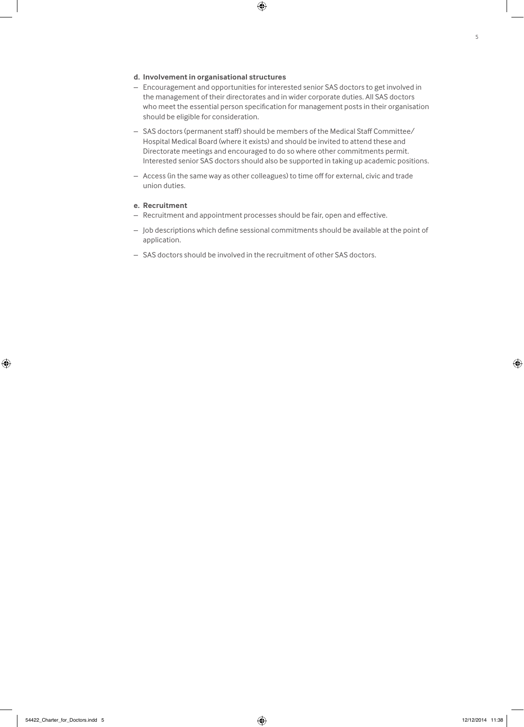### **d. Involvement in organisational structures**

- Encouragement and opportunities for interested senior SAS doctors to get involved in the management of their directorates and in wider corporate duties. All SAS doctors who meet the essential person specification for management posts in their organisation should be eligible for consideration.
- SAS doctors (permanent staff) should be members of the Medical Staff Committee/ Hospital Medical Board (where it exists) and should be invited to attend these and Directorate meetings and encouraged to do so where other commitments permit. Interested senior SAS doctors should also be supported in taking up academic positions.
- Access (in the same way as other colleagues) to time off for external, civic and trade union duties.

### **e. Recruitment**

- Recruitment and appointment processes should be fair, open and effective.
- Job descriptions which define sessional commitments should be available at the point of application.
- SAS doctors should be involved in the recruitment of other SAS doctors.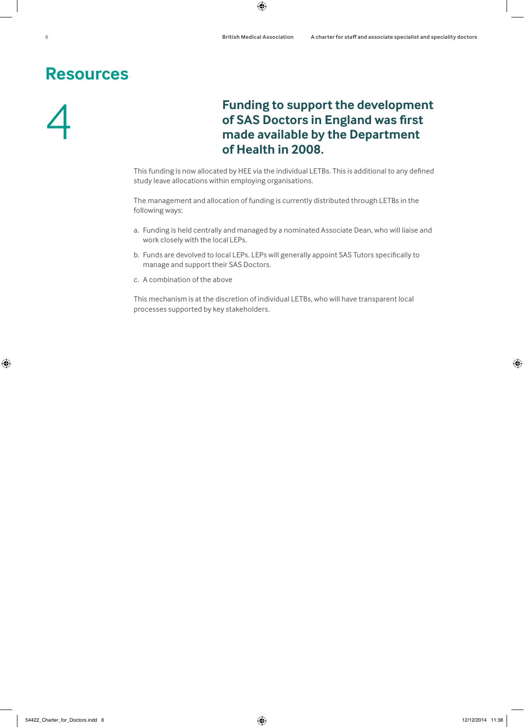# **Resources**



# **Funding to support the development of SAS Doctors in England was first made available by the Department of Health in 2008.**

This funding is now allocated by HEE via the individual LETBs. This is additional to any defined study leave allocations within employing organisations.

The management and allocation of funding is currently distributed through LETBs in the following ways:

- a. Funding is held centrally and managed by a nominated Associate Dean, who will liaise and work closely with the local LEPs.
- b. Funds are devolved to local LEPs. LEPs will generally appoint SAS Tutors specifically to manage and support their SAS Doctors.
- c. A combination of the above

This mechanism is at the discretion of individual LETBs, who will have transparent local processes supported by key stakeholders.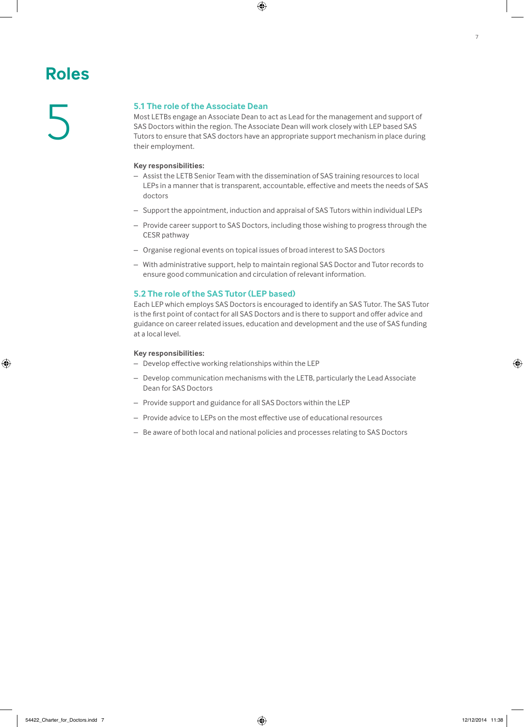# **Roles**

### **5.1 The role of the Associate Dean**

Most LETBs engage an Associate Dean to act as Lead for the management and support of SAS Doctors within the region. The Associate Dean will work closely with LEP based SAS Tutors to ensure that SAS doctors have an appropriate support mechanism in place during their employment.

### **Key responsibilities:**

- Assist the LETB Senior Team with the dissemination of SAS training resources to local LEPs in a manner that is transparent, accountable, effective and meets the needs of SAS doctors
- Support the appointment, induction and appraisal of SAS Tutors within individual LEPs
- Provide career support to SAS Doctors, including those wishing to progress through the CESR pathway
- Organise regional events on topical issues of broad interest to SAS Doctors
- With administrative support, help to maintain regional SAS Doctor and Tutor records to ensure good communication and circulation of relevant information.

### **5.2 The role of the SAS Tutor (LEP based)**

Each LEP which employs SAS Doctors is encouraged to identify an SAS Tutor. The SAS Tutor is the first point of contact for all SAS Doctors and is there to support and offer advice and guidance on career related issues, education and development and the use of SAS funding at a local level.

### **Key responsibilities:**

- Develop effective working relationships within the LEP
- Develop communication mechanisms with the LETB, particularly the Lead Associate Dean for SAS Doctors
- Provide support and guidance for all SAS Doctors within the LEP
- Provide advice to LEPs on the most effective use of educational resources
- Be aware of both local and national policies and processes relating to SAS Doctors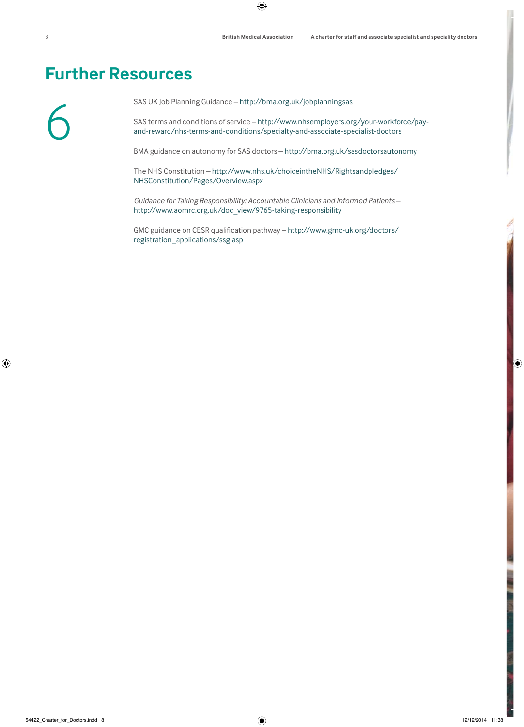# **Further Resources**

SAS UK Job Planning Guidance – http://bma.org.uk/jobplanningsas

SAS terms and conditions of service – http://www.nhsemployers.org/your-workforce/payand-reward/nhs-terms-and-conditions/specialty-and-associate-specialist-doctors

BMA guidance on autonomy for SAS doctors – http://bma.org.uk/sasdoctorsautonomy

The NHS Constitution – http://www.nhs.uk/choiceintheNHS/Rightsandpledges/ NHSConstitution/Pages/Overview.aspx

*Guidance for Taking Responsibility: Accountable Clinicians and Informed Patients* – http://www.aomrc.org.uk/doc\_view/9765-taking-responsibility

GMC guidance on CESR qualification pathway – http://www.gmc-uk.org/doctors/ registration\_applications/ssg.asp

6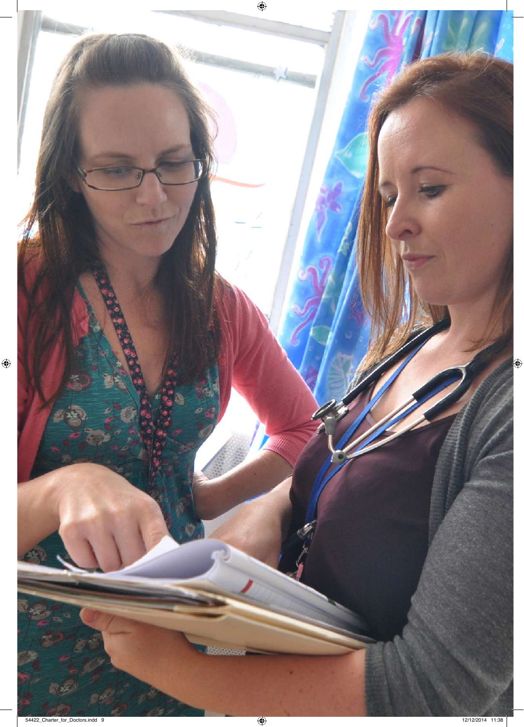